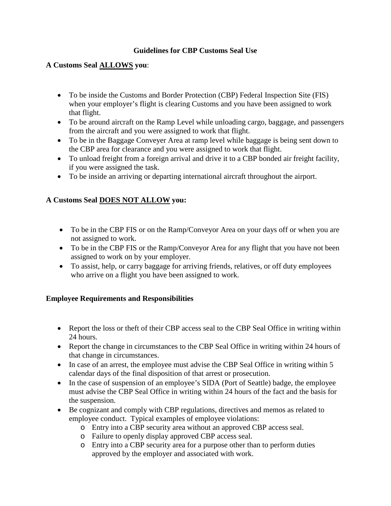## **Guidelines for CBP Customs Seal Use**

## **A Customs Seal ALLOWS you**:

- To be inside the Customs and Border Protection (CBP) Federal Inspection Site (FIS) when your employer's flight is clearing Customs and you have been assigned to work that flight.
- To be around aircraft on the Ramp Level while unloading cargo, baggage, and passengers from the aircraft and you were assigned to work that flight.
- To be in the Baggage Conveyer Area at ramp level while baggage is being sent down to the CBP area for clearance and you were assigned to work that flight.
- To unload freight from a foreign arrival and drive it to a CBP bonded air freight facility, if you were assigned the task.
- To be inside an arriving or departing international aircraft throughout the airport.

## **A Customs Seal DOES NOT ALLOW you:**

- To be in the CBP FIS or on the Ramp/Conveyor Area on your days off or when you are not assigned to work.
- To be in the CBP FIS or the Ramp/Conveyor Area for any flight that you have not been assigned to work on by your employer.
- To assist, help, or carry baggage for arriving friends, relatives, or off duty employees who arrive on a flight you have been assigned to work.

## **Employee Requirements and Responsibilities**

- Report the loss or theft of their CBP access seal to the CBP Seal Office in writing within 24 hours.
- Report the change in circumstances to the CBP Seal Office in writing within 24 hours of that change in circumstances.
- In case of an arrest, the employee must advise the CBP Seal Office in writing within 5 calendar days of the final disposition of that arrest or prosecution.
- In the case of suspension of an employee's SIDA (Port of Seattle) badge, the employee must advise the CBP Seal Office in writing within 24 hours of the fact and the basis for the suspension.
- Be cognizant and comply with CBP regulations, directives and memos as related to employee conduct. Typical examples of employee violations:
	- o Entry into a CBP security area without an approved CBP access seal.
	- o Failure to openly display approved CBP access seal.
	- o Entry into a CBP security area for a purpose other than to perform duties approved by the employer and associated with work.